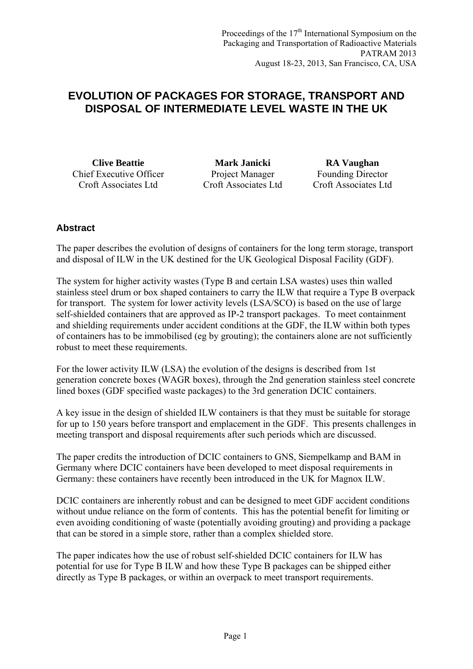# **EVOLUTION OF PACKAGES FOR STORAGE, TRANSPORT AND DISPOSAL OF INTERMEDIATE LEVEL WASTE IN THE UK**

Chief Executive Officer Croft Associates Ltd

**Clive Beattie Mark Janicki RA Vaughan** Project Manager Croft Associates Ltd

Founding Director Croft Associates Ltd

# **Abstract**

The paper describes the evolution of designs of containers for the long term storage, transport and disposal of ILW in the UK destined for the UK Geological Disposal Facility (GDF).

The system for higher activity wastes (Type B and certain LSA wastes) uses thin walled stainless steel drum or box shaped containers to carry the ILW that require a Type B overpack for transport. The system for lower activity levels (LSA/SCO) is based on the use of large self-shielded containers that are approved as IP-2 transport packages. To meet containment and shielding requirements under accident conditions at the GDF, the ILW within both types of containers has to be immobilised (eg by grouting); the containers alone are not sufficiently robust to meet these requirements.

For the lower activity ILW (LSA) the evolution of the designs is described from 1st generation concrete boxes (WAGR boxes), through the 2nd generation stainless steel concrete lined boxes (GDF specified waste packages) to the 3rd generation DCIC containers.

A key issue in the design of shielded ILW containers is that they must be suitable for storage for up to 150 years before transport and emplacement in the GDF. This presents challenges in meeting transport and disposal requirements after such periods which are discussed.

The paper credits the introduction of DCIC containers to GNS, Siempelkamp and BAM in Germany where DCIC containers have been developed to meet disposal requirements in Germany: these containers have recently been introduced in the UK for Magnox ILW.

DCIC containers are inherently robust and can be designed to meet GDF accident conditions without undue reliance on the form of contents. This has the potential benefit for limiting or even avoiding conditioning of waste (potentially avoiding grouting) and providing a package that can be stored in a simple store, rather than a complex shielded store.

The paper indicates how the use of robust self-shielded DCIC containers for ILW has potential for use for Type B ILW and how these Type B packages can be shipped either directly as Type B packages, or within an overpack to meet transport requirements.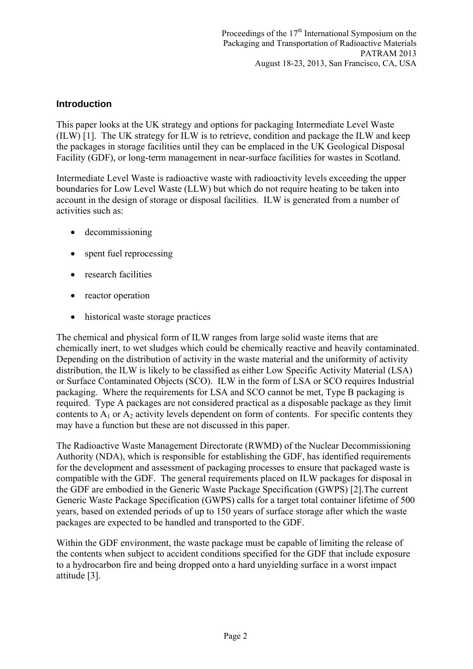### **Introduction**

This paper looks at the UK strategy and options for packaging Intermediate Level Waste (ILW) [1]. The UK strategy for ILW is to retrieve, condition and package the ILW and keep the packages in storage facilities until they can be emplaced in the UK Geological Disposal Facility (GDF), or long-term management in near-surface facilities for wastes in Scotland.

Intermediate Level Waste is radioactive waste with radioactivity levels exceeding the upper boundaries for Low Level Waste (LLW) but which do not require heating to be taken into account in the design of storage or disposal facilities. ILW is generated from a number of activities such as:

- decommissioning
- spent fuel reprocessing
- research facilities
- reactor operation
- historical waste storage practices

The chemical and physical form of ILW ranges from large solid waste items that are chemically inert, to wet sludges which could be chemically reactive and heavily contaminated. Depending on the distribution of activity in the waste material and the uniformity of activity distribution, the ILW is likely to be classified as either Low Specific Activity Material (LSA) or Surface Contaminated Objects (SCO). ILW in the form of LSA or SCO requires Industrial packaging. Where the requirements for LSA and SCO cannot be met, Type B packaging is required. Type A packages are not considered practical as a disposable package as they limit contents to  $A_1$  or  $A_2$  activity levels dependent on form of contents. For specific contents they may have a function but these are not discussed in this paper.

The Radioactive Waste Management Directorate (RWMD) of the Nuclear Decommissioning Authority (NDA), which is responsible for establishing the GDF, has identified requirements for the development and assessment of packaging processes to ensure that packaged waste is compatible with the GDF. The general requirements placed on ILW packages for disposal in the GDF are embodied in the Generic Waste Package Specification (GWPS) [2].The current Generic Waste Package Specification (GWPS) calls for a target total container lifetime of 500 years, based on extended periods of up to 150 years of surface storage after which the waste packages are expected to be handled and transported to the GDF.

Within the GDF environment, the waste package must be capable of limiting the release of the contents when subject to accident conditions specified for the GDF that include exposure to a hydrocarbon fire and being dropped onto a hard unyielding surface in a worst impact attitude [3].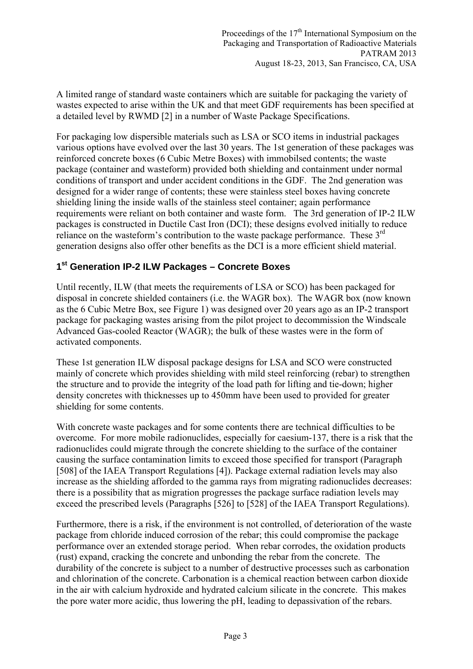A limited range of standard waste containers which are suitable for packaging the variety of wastes expected to arise within the UK and that meet GDF requirements has been specified at a detailed level by RWMD [2] in a number of Waste Package Specifications.

For packaging low dispersible materials such as LSA or SCO items in industrial packages various options have evolved over the last 30 years. The 1st generation of these packages was reinforced concrete boxes (6 Cubic Metre Boxes) with immobilsed contents; the waste package (container and wasteform) provided both shielding and containment under normal conditions of transport and under accident conditions in the GDF. The 2nd generation was designed for a wider range of contents; these were stainless steel boxes having concrete shielding lining the inside walls of the stainless steel container; again performance requirements were reliant on both container and waste form. The 3rd generation of IP-2 ILW packages is constructed in Ductile Cast Iron (DCI); these designs evolved initially to reduce reliance on the wasteform's contribution to the waste package performance. These 3<sup>rd</sup> generation designs also offer other benefits as the DCI is a more efficient shield material.

### **1st Generation IP-2 ILW Packages – Concrete Boxes**

Until recently, ILW (that meets the requirements of LSA or SCO) has been packaged for disposal in concrete shielded containers (i.e. the WAGR box). The WAGR box (now known as the 6 Cubic Metre Box, see Figure 1) was designed over 20 years ago as an IP-2 transport package for packaging wastes arising from the pilot project to decommission the Windscale Advanced Gas-cooled Reactor (WAGR); the bulk of these wastes were in the form of activated components.

These 1st generation ILW disposal package designs for LSA and SCO were constructed mainly of concrete which provides shielding with mild steel reinforcing (rebar) to strengthen the structure and to provide the integrity of the load path for lifting and tie-down; higher density concretes with thicknesses up to 450mm have been used to provided for greater shielding for some contents.

With concrete waste packages and for some contents there are technical difficulties to be overcome. For more mobile radionuclides, especially for caesium-137, there is a risk that the radionuclides could migrate through the concrete shielding to the surface of the container causing the surface contamination limits to exceed those specified for transport (Paragraph [508] of the IAEA Transport Regulations [4]). Package external radiation levels may also increase as the shielding afforded to the gamma rays from migrating radionuclides decreases: there is a possibility that as migration progresses the package surface radiation levels may exceed the prescribed levels (Paragraphs [526] to [528] of the IAEA Transport Regulations).

Furthermore, there is a risk, if the environment is not controlled, of deterioration of the waste package from chloride induced corrosion of the rebar; this could compromise the package performance over an extended storage period. When rebar corrodes, the oxidation products (rust) expand, cracking the concrete and unbonding the rebar from the concrete. The durability of the concrete is subject to a number of destructive processes such as carbonation and chlorination of the concrete. Carbonation is a chemical reaction between carbon dioxide in the air with calcium hydroxide and hydrated calcium silicate in the concrete. This makes the pore water more acidic, thus lowering the pH, leading to depassivation of the rebars.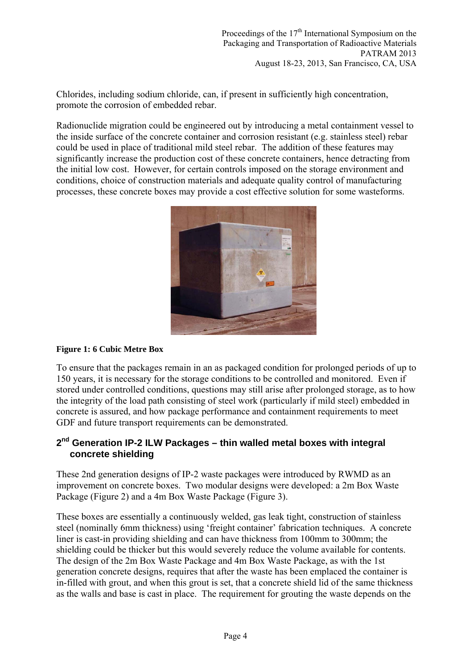Chlorides, including sodium chloride, can, if present in sufficiently high concentration, promote the corrosion of embedded rebar.

Radionuclide migration could be engineered out by introducing a metal containment vessel to the inside surface of the concrete container and corrosion resistant (e.g. stainless steel) rebar could be used in place of traditional mild steel rebar. The addition of these features may significantly increase the production cost of these concrete containers, hence detracting from the initial low cost. However, for certain controls imposed on the storage environment and conditions, choice of construction materials and adequate quality control of manufacturing processes, these concrete boxes may provide a cost effective solution for some wasteforms.



### **Figure 1: 6 Cubic Metre Box**

To ensure that the packages remain in an as packaged condition for prolonged periods of up to 150 years, it is necessary for the storage conditions to be controlled and monitored. Even if stored under controlled conditions, questions may still arise after prolonged storage, as to how the integrity of the load path consisting of steel work (particularly if mild steel) embedded in concrete is assured, and how package performance and containment requirements to meet GDF and future transport requirements can be demonstrated.

### **2nd Generation IP-2 ILW Packages – thin walled metal boxes with integral concrete shielding**

These 2nd generation designs of IP-2 waste packages were introduced by RWMD as an improvement on concrete boxes. Two modular designs were developed: a 2m Box Waste Package (Figure 2) and a 4m Box Waste Package (Figure 3).

These boxes are essentially a continuously welded, gas leak tight, construction of stainless steel (nominally 6mm thickness) using 'freight container' fabrication techniques. A concrete liner is cast-in providing shielding and can have thickness from 100mm to 300mm; the shielding could be thicker but this would severely reduce the volume available for contents. The design of the 2m Box Waste Package and 4m Box Waste Package, as with the 1st generation concrete designs, requires that after the waste has been emplaced the container is in-filled with grout, and when this grout is set, that a concrete shield lid of the same thickness as the walls and base is cast in place. The requirement for grouting the waste depends on the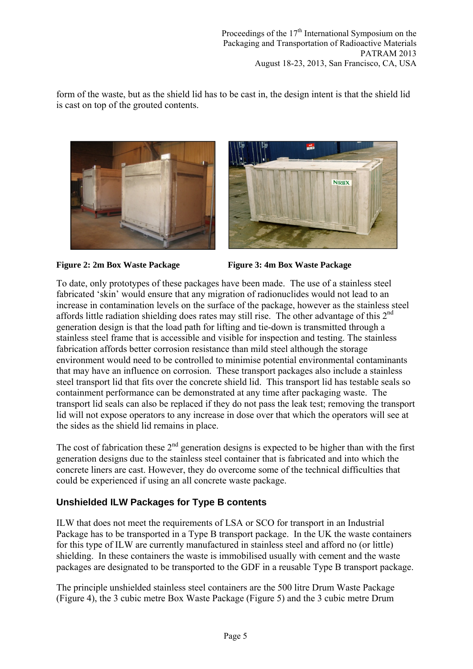form of the waste, but as the shield lid has to be cast in, the design intent is that the shield lid is cast on top of the grouted contents.





**Figure 2: 2m Box Waste Package Figure 3: 4m Box Waste Package** 

To date, only prototypes of these packages have been made. The use of a stainless steel fabricated 'skin' would ensure that any migration of radionuclides would not lead to an increase in contamination levels on the surface of the package, however as the stainless steel affords little radiation shielding does rates may still rise. The other advantage of this  $2<sup>nd</sup>$ generation design is that the load path for lifting and tie-down is transmitted through a stainless steel frame that is accessible and visible for inspection and testing. The stainless fabrication affords better corrosion resistance than mild steel although the storage environment would need to be controlled to minimise potential environmental contaminants that may have an influence on corrosion. These transport packages also include a stainless steel transport lid that fits over the concrete shield lid. This transport lid has testable seals so containment performance can be demonstrated at any time after packaging waste. The transport lid seals can also be replaced if they do not pass the leak test; removing the transport lid will not expose operators to any increase in dose over that which the operators will see at the sides as the shield lid remains in place.

The cost of fabrication these  $2<sup>nd</sup>$  generation designs is expected to be higher than with the first generation designs due to the stainless steel container that is fabricated and into which the concrete liners are cast. However, they do overcome some of the technical difficulties that could be experienced if using an all concrete waste package.

# **Unshielded ILW Packages for Type B contents**

ILW that does not meet the requirements of LSA or SCO for transport in an Industrial Package has to be transported in a Type B transport package. In the UK the waste containers for this type of ILW are currently manufactured in stainless steel and afford no (or little) shielding. In these containers the waste is immobilised usually with cement and the waste packages are designated to be transported to the GDF in a reusable Type B transport package.

The principle unshielded stainless steel containers are the 500 litre Drum Waste Package (Figure 4), the 3 cubic metre Box Waste Package (Figure 5) and the 3 cubic metre Drum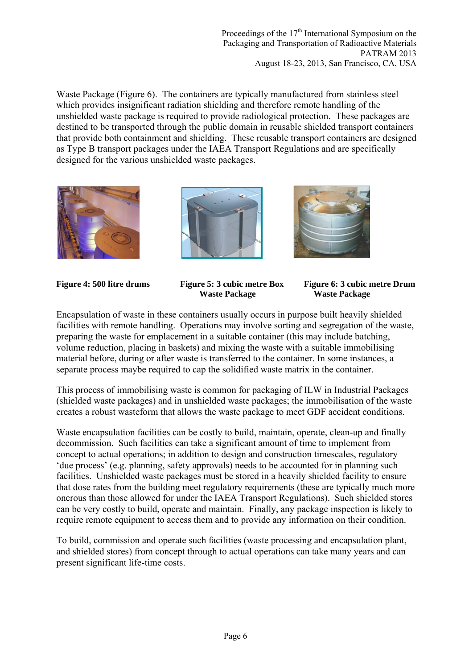Proceedings of the  $17<sup>th</sup>$  International Symposium on the Packaging and Transportation of Radioactive Materials PATRAM 2013 August 18-23, 2013, San Francisco, CA, USA

Waste Package (Figure 6). The containers are typically manufactured from stainless steel which provides insignificant radiation shielding and therefore remote handling of the unshielded waste package is required to provide radiological protection. These packages are destined to be transported through the public domain in reusable shielded transport containers that provide both containment and shielding. These reusable transport containers are designed as Type B transport packages under the IAEA Transport Regulations and are specifically designed for the various unshielded waste packages.







**Waste Package Waste Package** 

**Figure 4: 500 litre drums Figure 5: 3 cubic metre Box Figure 6: 3 cubic metre Drum** 

Encapsulation of waste in these containers usually occurs in purpose built heavily shielded facilities with remote handling. Operations may involve sorting and segregation of the waste, preparing the waste for emplacement in a suitable container (this may include batching, volume reduction, placing in baskets) and mixing the waste with a suitable immobilising material before, during or after waste is transferred to the container. In some instances, a separate process maybe required to cap the solidified waste matrix in the container.

This process of immobilising waste is common for packaging of ILW in Industrial Packages (shielded waste packages) and in unshielded waste packages; the immobilisation of the waste creates a robust wasteform that allows the waste package to meet GDF accident conditions.

Waste encapsulation facilities can be costly to build, maintain, operate, clean-up and finally decommission. Such facilities can take a significant amount of time to implement from concept to actual operations; in addition to design and construction timescales, regulatory 'due process' (e.g. planning, safety approvals) needs to be accounted for in planning such facilities. Unshielded waste packages must be stored in a heavily shielded facility to ensure that dose rates from the building meet regulatory requirements (these are typically much more onerous than those allowed for under the IAEA Transport Regulations). Such shielded stores can be very costly to build, operate and maintain. Finally, any package inspection is likely to require remote equipment to access them and to provide any information on their condition.

To build, commission and operate such facilities (waste processing and encapsulation plant, and shielded stores) from concept through to actual operations can take many years and can present significant life-time costs.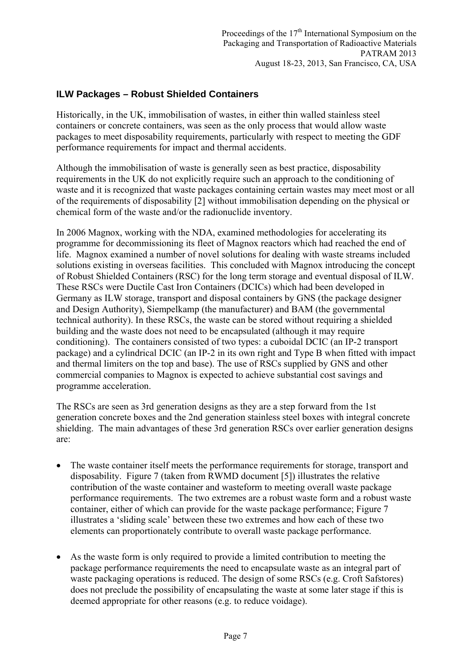# **ILW Packages – Robust Shielded Containers**

Historically, in the UK, immobilisation of wastes, in either thin walled stainless steel containers or concrete containers, was seen as the only process that would allow waste packages to meet disposability requirements, particularly with respect to meeting the GDF performance requirements for impact and thermal accidents.

Although the immobilisation of waste is generally seen as best practice, disposability requirements in the UK do not explicitly require such an approach to the conditioning of waste and it is recognized that waste packages containing certain wastes may meet most or all of the requirements of disposability [2] without immobilisation depending on the physical or chemical form of the waste and/or the radionuclide inventory.

In 2006 Magnox, working with the NDA, examined methodologies for accelerating its programme for decommissioning its fleet of Magnox reactors which had reached the end of life. Magnox examined a number of novel solutions for dealing with waste streams included solutions existing in overseas facilities. This concluded with Magnox introducing the concept of Robust Shielded Containers (RSC) for the long term storage and eventual disposal of ILW. These RSCs were Ductile Cast Iron Containers (DCICs) which had been developed in Germany as ILW storage, transport and disposal containers by GNS (the package designer and Design Authority), Siempelkamp (the manufacturer) and BAM (the governmental technical authority). In these RSCs, the waste can be stored without requiring a shielded building and the waste does not need to be encapsulated (although it may require conditioning). The containers consisted of two types: a cuboidal DCIC (an IP-2 transport package) and a cylindrical DCIC (an IP-2 in its own right and Type B when fitted with impact and thermal limiters on the top and base). The use of RSCs supplied by GNS and other commercial companies to Magnox is expected to achieve substantial cost savings and programme acceleration.

The RSCs are seen as 3rd generation designs as they are a step forward from the 1st generation concrete boxes and the 2nd generation stainless steel boxes with integral concrete shielding. The main advantages of these 3rd generation RSCs over earlier generation designs are:

- The waste container itself meets the performance requirements for storage, transport and disposability. Figure 7 (taken from RWMD document [5]) illustrates the relative contribution of the waste container and wasteform to meeting overall waste package performance requirements. The two extremes are a robust waste form and a robust waste container, either of which can provide for the waste package performance; Figure 7 illustrates a 'sliding scale' between these two extremes and how each of these two elements can proportionately contribute to overall waste package performance.
- As the waste form is only required to provide a limited contribution to meeting the package performance requirements the need to encapsulate waste as an integral part of waste packaging operations is reduced. The design of some RSCs (e.g. Croft Safstores) does not preclude the possibility of encapsulating the waste at some later stage if this is deemed appropriate for other reasons (e.g. to reduce voidage).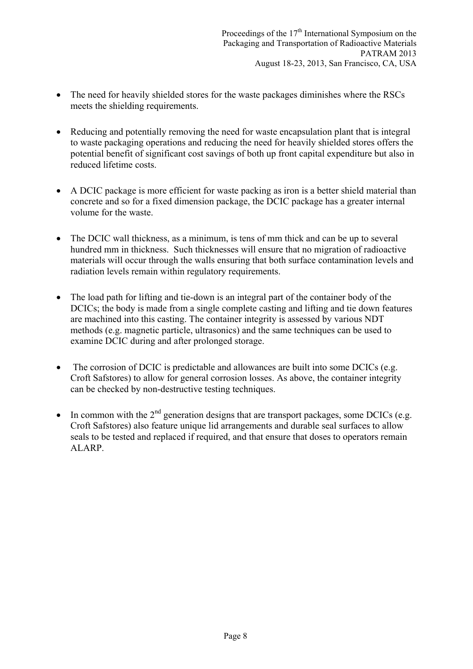- The need for heavily shielded stores for the waste packages diminishes where the RSCs meets the shielding requirements.
- Reducing and potentially removing the need for waste encapsulation plant that is integral to waste packaging operations and reducing the need for heavily shielded stores offers the potential benefit of significant cost savings of both up front capital expenditure but also in reduced lifetime costs.
- A DCIC package is more efficient for waste packing as iron is a better shield material than concrete and so for a fixed dimension package, the DCIC package has a greater internal volume for the waste.
- The DCIC wall thickness, as a minimum, is tens of mm thick and can be up to several hundred mm in thickness. Such thicknesses will ensure that no migration of radioactive materials will occur through the walls ensuring that both surface contamination levels and radiation levels remain within regulatory requirements.
- The load path for lifting and tie-down is an integral part of the container body of the DCICs; the body is made from a single complete casting and lifting and tie down features are machined into this casting. The container integrity is assessed by various NDT methods (e.g. magnetic particle, ultrasonics) and the same techniques can be used to examine DCIC during and after prolonged storage.
- The corrosion of DCIC is predictable and allowances are built into some DCICs (e.g. Croft Safstores) to allow for general corrosion losses. As above, the container integrity can be checked by non-destructive testing techniques.
- In common with the  $2<sup>nd</sup>$  generation designs that are transport packages, some DCICs (e.g. Croft Safstores) also feature unique lid arrangements and durable seal surfaces to allow seals to be tested and replaced if required, and that ensure that doses to operators remain ALARP.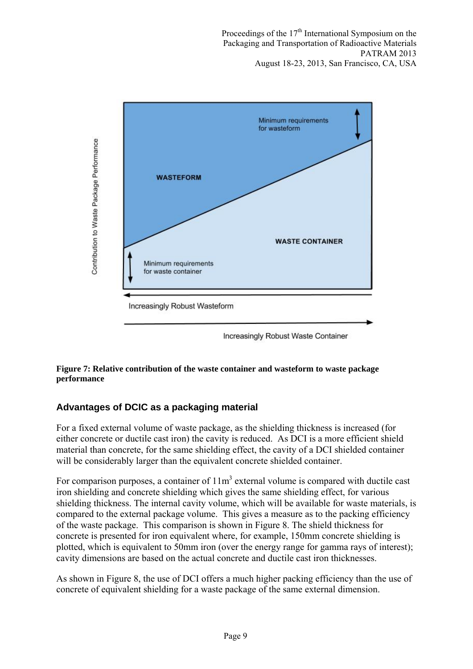Proceedings of the  $17<sup>th</sup>$  International Symposium on the Packaging and Transportation of Radioactive Materials PATRAM 2013 August 18-23, 2013, San Francisco, CA, USA



#### **Figure 7: Relative contribution of the waste container and wasteform to waste package performance**

# **Advantages of DCIC as a packaging material**

For a fixed external volume of waste package, as the shielding thickness is increased (for either concrete or ductile cast iron) the cavity is reduced. As DCI is a more efficient shield material than concrete, for the same shielding effect, the cavity of a DCI shielded container will be considerably larger than the equivalent concrete shielded container.

For comparison purposes, a container of  $11m<sup>3</sup>$  external volume is compared with ductile cast iron shielding and concrete shielding which gives the same shielding effect, for various shielding thickness. The internal cavity volume, which will be available for waste materials, is compared to the external package volume. This gives a measure as to the packing efficiency of the waste package. This comparison is shown in Figure 8. The shield thickness for concrete is presented for iron equivalent where, for example, 150mm concrete shielding is plotted, which is equivalent to 50mm iron (over the energy range for gamma rays of interest); cavity dimensions are based on the actual concrete and ductile cast iron thicknesses.

As shown in Figure 8, the use of DCI offers a much higher packing efficiency than the use of concrete of equivalent shielding for a waste package of the same external dimension.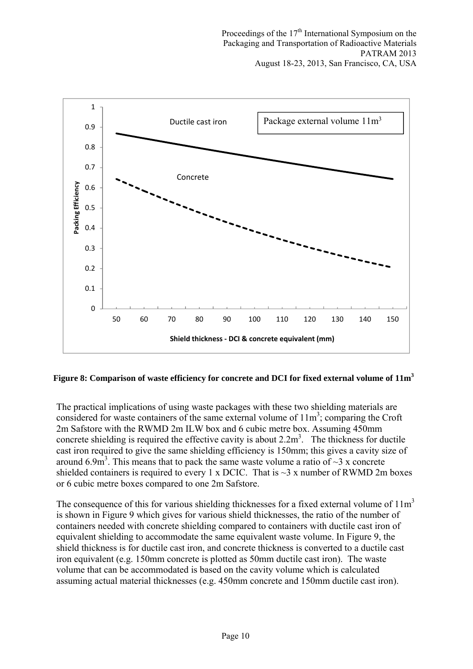

### **Figure 8: Comparison of waste efficiency for concrete and DCI for fixed external volume of 11m<sup>3</sup>**

The practical implications of using waste packages with these two shielding materials are considered for waste containers of the same external volume of  $11m<sup>3</sup>$ ; comparing the Croft 2m Safstore with the RWMD 2m ILW box and 6 cubic metre box. Assuming 450mm concrete shielding is required the effective cavity is about  $2.2 m<sup>3</sup>$ . The thickness for ductile cast iron required to give the same shielding efficiency is 150mm; this gives a cavity size of around 6.9m<sup>3</sup>. This means that to pack the same waste volume a ratio of  $\sim$ 3 x concrete shielded containers is required to every 1 x DCIC. That is  $\sim$ 3 x number of RWMD 2m boxes or 6 cubic metre boxes compared to one 2m Safstore.

The consequence of this for various shielding thicknesses for a fixed external volume of  $11m<sup>3</sup>$ is shown in Figure 9 which gives for various shield thicknesses, the ratio of the number of containers needed with concrete shielding compared to containers with ductile cast iron of equivalent shielding to accommodate the same equivalent waste volume. In Figure 9, the shield thickness is for ductile cast iron, and concrete thickness is converted to a ductile cast iron equivalent (e.g. 150mm concrete is plotted as 50mm ductile cast iron). The waste volume that can be accommodated is based on the cavity volume which is calculated assuming actual material thicknesses (e.g. 450mm concrete and 150mm ductile cast iron).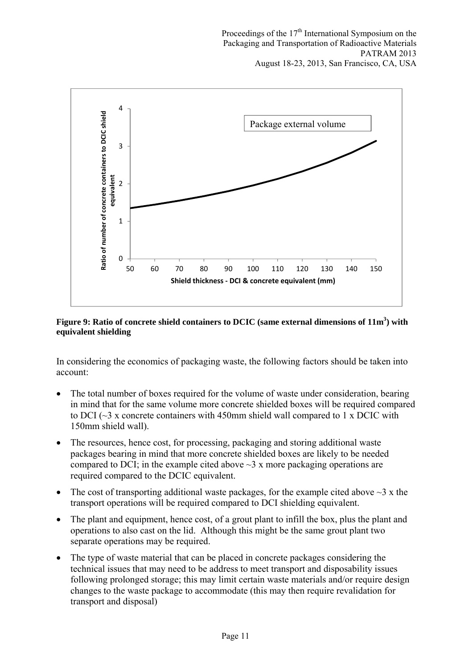

#### Figure 9: Ratio of concrete shield containers to DCIC (same external dimensions of  $11m^3$ ) with **equivalent shielding**

In considering the economics of packaging waste, the following factors should be taken into account:

- The total number of boxes required for the volume of waste under consideration, bearing in mind that for the same volume more concrete shielded boxes will be required compared to DCI ( $\sim$ 3 x concrete containers with 450mm shield wall compared to 1 x DCIC with 150mm shield wall).
- The resources, hence cost, for processing, packaging and storing additional waste packages bearing in mind that more concrete shielded boxes are likely to be needed compared to DCI; in the example cited above  $\sim$ 3 x more packaging operations are required compared to the DCIC equivalent.
- The cost of transporting additional waste packages, for the example cited above  $\sim$ 3 x the transport operations will be required compared to DCI shielding equivalent.
- The plant and equipment, hence cost, of a grout plant to infill the box, plus the plant and operations to also cast on the lid. Although this might be the same grout plant two separate operations may be required.
- The type of waste material that can be placed in concrete packages considering the technical issues that may need to be address to meet transport and disposability issues following prolonged storage; this may limit certain waste materials and/or require design changes to the waste package to accommodate (this may then require revalidation for transport and disposal)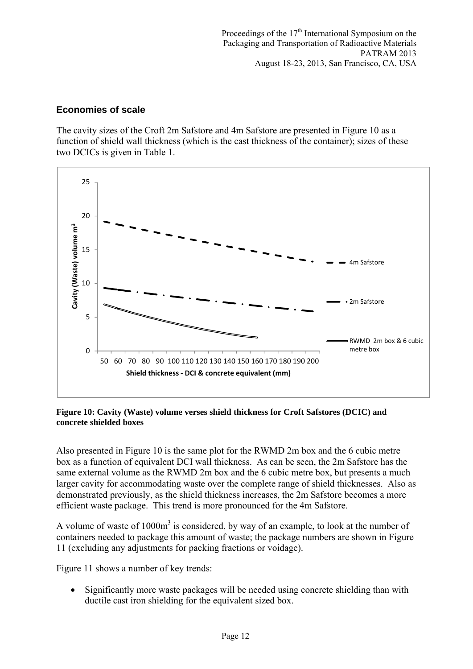## **Economies of scale**

The cavity sizes of the Croft 2m Safstore and 4m Safstore are presented in Figure 10 as a function of shield wall thickness (which is the cast thickness of the container); sizes of these two DCICs is given in Table 1.



#### **Figure 10: Cavity (Waste) volume verses shield thickness for Croft Safstores (DCIC) and concrete shielded boxes**

Also presented in Figure 10 is the same plot for the RWMD 2m box and the 6 cubic metre box as a function of equivalent DCI wall thickness. As can be seen, the 2m Safstore has the same external volume as the RWMD 2m box and the 6 cubic metre box, but presents a much larger cavity for accommodating waste over the complete range of shield thicknesses. Also as demonstrated previously, as the shield thickness increases, the 2m Safstore becomes a more efficient waste package. This trend is more pronounced for the 4m Safstore.

A volume of waste of  $1000m<sup>3</sup>$  is considered, by way of an example, to look at the number of containers needed to package this amount of waste; the package numbers are shown in Figure 11 (excluding any adjustments for packing fractions or voidage).

Figure 11 shows a number of key trends:

• Significantly more waste packages will be needed using concrete shielding than with ductile cast iron shielding for the equivalent sized box.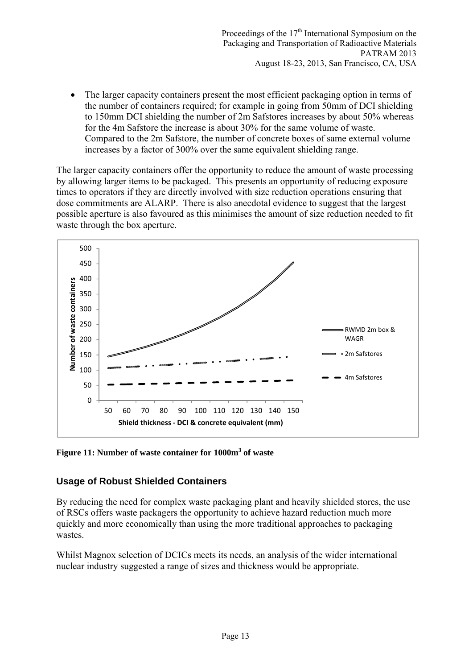The larger capacity containers present the most efficient packaging option in terms of the number of containers required; for example in going from 50mm of DCI shielding to 150mm DCI shielding the number of 2m Safstores increases by about 50% whereas for the 4m Safstore the increase is about 30% for the same volume of waste. Compared to the 2m Safstore, the number of concrete boxes of same external volume increases by a factor of 300% over the same equivalent shielding range.

The larger capacity containers offer the opportunity to reduce the amount of waste processing by allowing larger items to be packaged. This presents an opportunity of reducing exposure times to operators if they are directly involved with size reduction operations ensuring that dose commitments are ALARP. There is also anecdotal evidence to suggest that the largest possible aperture is also favoured as this minimises the amount of size reduction needed to fit waste through the box aperture.



**Figure 11: Number of waste container for 1000m<sup>3</sup> of waste** 

# **Usage of Robust Shielded Containers**

By reducing the need for complex waste packaging plant and heavily shielded stores, the use of RSCs offers waste packagers the opportunity to achieve hazard reduction much more quickly and more economically than using the more traditional approaches to packaging wastes.

Whilst Magnox selection of DCICs meets its needs, an analysis of the wider international nuclear industry suggested a range of sizes and thickness would be appropriate.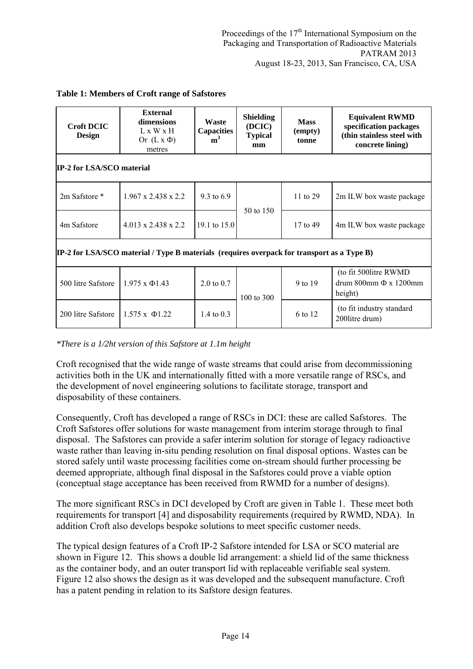| <b>Croft DCIC</b><br><b>Design</b>                                                                | External<br>dimensions<br>L x W x H<br>Or $(L x \Phi)$<br>metres | Waste<br><b>Capacities</b><br>m <sup>3</sup> | <b>Shielding</b><br>(DCIC)<br><b>Typical</b><br>mm | <b>Mass</b><br>(empty)<br>tonne | <b>Equivalent RWMD</b><br>specification packages<br>(thin stainless steel with<br>concrete lining) |
|---------------------------------------------------------------------------------------------------|------------------------------------------------------------------|----------------------------------------------|----------------------------------------------------|---------------------------------|----------------------------------------------------------------------------------------------------|
| <b>IP-2 for LSA/SCO material</b>                                                                  |                                                                  |                                              |                                                    |                                 |                                                                                                    |
| 2m Safstore *                                                                                     | $1.967 \times 2.438 \times 2.2$                                  | 9.3 to 6.9                                   | 50 to 150                                          | 11 to 29                        | 2m ILW box waste package                                                                           |
| 4m Safstore                                                                                       | $4.013 \times 2.438 \times 2.2$                                  | 19.1 to 15.0                                 |                                                    | 17 to 49                        | 4m ILW box waste package                                                                           |
| <b>IP-2 for LSA/SCO material / Type B materials (requires overpack for transport as a Type B)</b> |                                                                  |                                              |                                                    |                                 |                                                                                                    |
| 500 litre Safstore                                                                                | $1.975 \times \Phi$ 1.43                                         | 2.0 to 0.7                                   | 100 to 300                                         | 9 to 19                         | (to fit 500 litre RWMD)<br>drum 800mm Φ x 1200mm<br>height)                                        |
| 200 litre Safstore                                                                                | $1.575 \times \Phi$ 1.22                                         | 1.4 to $0.3$                                 |                                                    | 6 to 12                         | (to fit industry standard<br>2001itre drum)                                                        |

#### **Table 1: Members of Croft range of Safstores**

*\*There is a 1/2ht version of this Safstore at 1.1m height* 

Croft recognised that the wide range of waste streams that could arise from decommissioning activities both in the UK and internationally fitted with a more versatile range of RSCs, and the development of novel engineering solutions to facilitate storage, transport and disposability of these containers.

Consequently, Croft has developed a range of RSCs in DCI: these are called Safstores. The Croft Safstores offer solutions for waste management from interim storage through to final disposal. The Safstores can provide a safer interim solution for storage of legacy radioactive waste rather than leaving in-situ pending resolution on final disposal options. Wastes can be stored safely until waste processing facilities come on-stream should further processing be deemed appropriate, although final disposal in the Safstores could prove a viable option (conceptual stage acceptance has been received from RWMD for a number of designs).

The more significant RSCs in DCI developed by Croft are given in Table 1. These meet both requirements for transport [4] and disposability requirements (required by RWMD, NDA). In addition Croft also develops bespoke solutions to meet specific customer needs.

The typical design features of a Croft IP-2 Safstore intended for LSA or SCO material are shown in Figure 12. This shows a double lid arrangement: a shield lid of the same thickness as the container body, and an outer transport lid with replaceable verifiable seal system. Figure 12 also shows the design as it was developed and the subsequent manufacture. Croft has a patent pending in relation to its Safstore design features.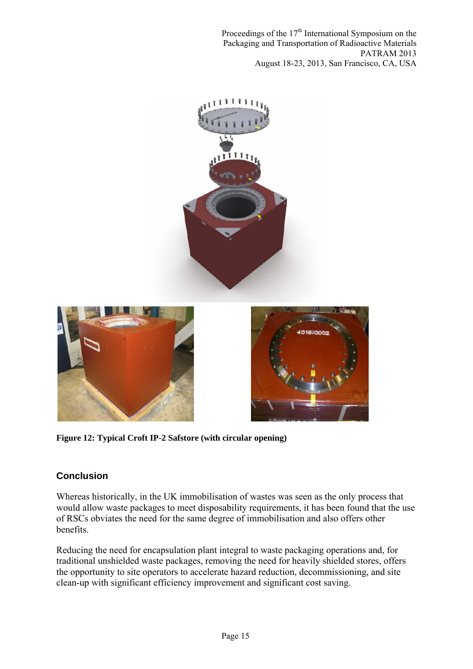Proceedings of the  $17<sup>th</sup>$  International Symposium on the Packaging and Transportation of Radioactive Materials PATRAM 2013 August 18-23, 2013, San Francisco, CA, USA



**Figure 12: Typical Croft IP-2 Safstore (with circular opening)** 

# **Conclusion**

Whereas historically, in the UK immobilisation of wastes was seen as the only process that would allow waste packages to meet disposability requirements, it has been found that the use of RSCs obviates the need for the same degree of immobilisation and also offers other benefits.

Reducing the need for encapsulation plant integral to waste packaging operations and, for traditional unshielded waste packages, removing the need for heavily shielded stores, offers the opportunity to site operators to accelerate hazard reduction, decommissioning, and site clean-up with significant efficiency improvement and significant cost saving.